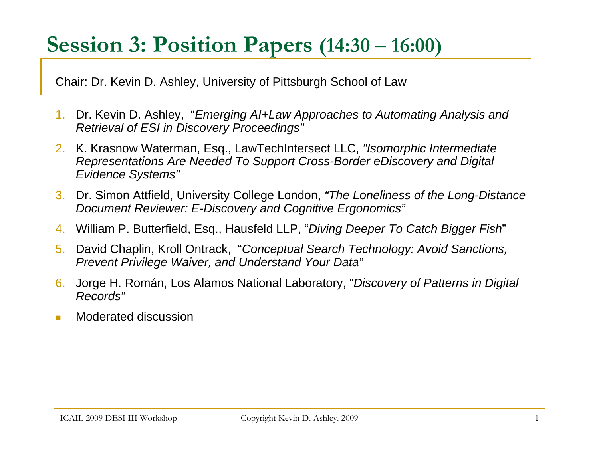# **Session 3: Position Papers (14:30 – 16:00)**

Chair: Dr. Kevin D. Ashley, University of Pittsburgh School of Law

- 1. Dr. Kevin D. Ashley, "*Emerging AI+Law Approaches to Automating Analysis and Retrieval of ESI in Discovery Proceedings"*
- 2. K. Krasnow Waterman, Esq., LawTechIntersect LLC, *"Isomorphic Intermediate Representations Are Needed To Support Cross-Border eDiscovery and Digital Evidence Systems"*
- 3. Dr. Simon Attfield, University College London, *"The Loneliness of the Long-Distance Document Reviewer: E-Discovery and Cognitive Ergonomics"*
- 4. William P. Butterfield, Esq., Hausfeld LLP, "*Diving Deeper To Catch Bigger Fish*"
- 5. David Chaplin, Kroll Ontrack, "*Conceptual Search Technology: Avoid Sanctions, Prevent Privilege Waiver, and Understand Your Data"*
- 6. Jorge H. Román, Los Alamos National Laboratory, "*Discovery of Patterns in Digital Records"*
- $\sim$ Moderated discussion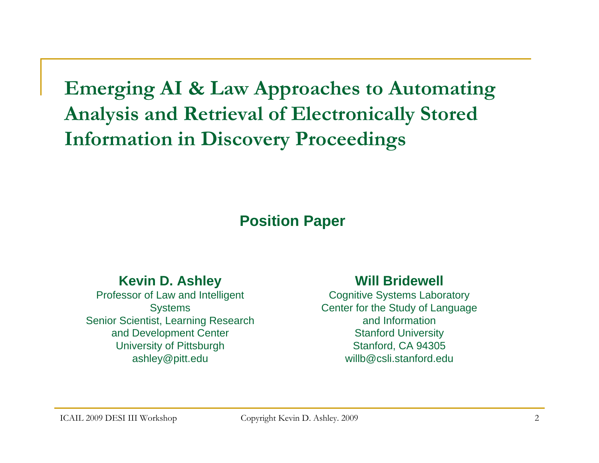**Emerging AI & Law Approaches to Automating Analysis and Retrieval of Electronically Stored Information in Discovery Proceedings** 

#### **Position Paper**

#### **Kevin D. Ashley**

Professor of Law and Intelligent **Systems** Senior Scientist, Learning Research and Development Center University of Pittsburgh ashley@pitt.edu

#### **Will Bridewell**

Cognitive Systems Laboratory Center for the Study of Language and InformationStanford University Stanford, CA 94305 willb@csli.stanford.edu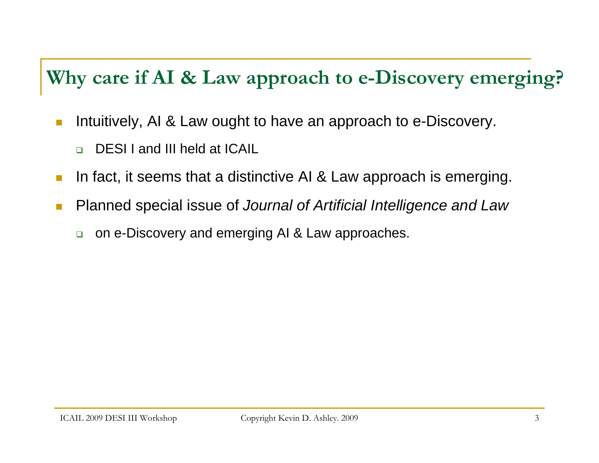### **Why care if AI & Law approach to e-Discovery emerging?**

- П Intuitively, AI & Law ought to have an approach to e-Discovery.
	- $\Box$ DESI I and III held at ICAIL
- In fact, it seems that a distinctive AI & Law approach is emerging.
- M. Planned special issue of *Journal of Artificial Intelligence and Law*
	- $\Box$ on e-Discovery and emerging AI & Law approaches.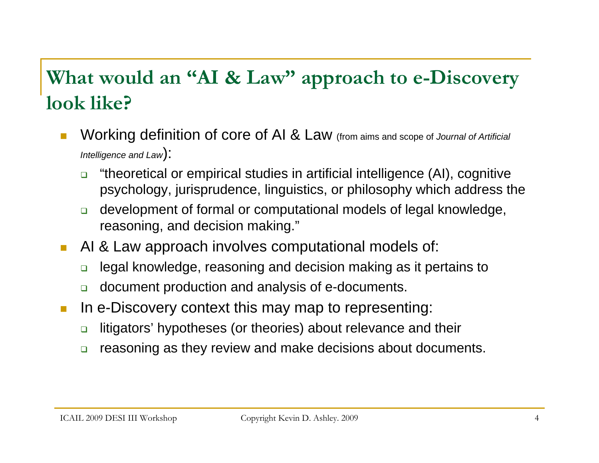## **What would an "AI & Law" approach to e-Discovery look like?**

- П Working definition of core of AI & Law (from aims and scope of *Journal of Artificial Intelligence and Law* ):
	- $\Box$  "theoretical or empirical studies in artificial intelligence (AI), cognitive psychology, jurisprudence, linguistics, or philosophy which address the
	- $\Box$  development of formal or computational models of legal knowledge, reasoning, and decision making."
- $\mathcal{C}^{\mathcal{A}}$  AI & Law approach involves computational models of:
	- $\Box$ legal knowledge, reasoning and decision making as it pertains to
	- $\Box$ document production and analysis of e-documents.
- **Tale**  In e-Discovery context this may map to representing:
	- $\Box$ litigators' hypotheses (or theories) about relevance and their
	- $\Box$ reasoning as they review and make decisions about documents.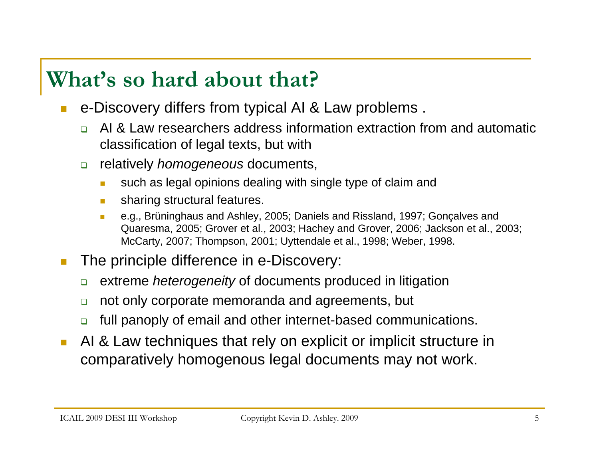# **What's so hard about that?**

- П e-Discovery differs from typical AI & Law problems .
	- $\Box$  AI & Law researchers address information extraction from and automatic classification of legal texts, but with
	- $\Box$  relatively *homogeneous* documents,
		- п such as legal opinions dealing with single type of claim and
		- m. sharing structural features.
		- $\mathcal{L}_{\rm{max}}$  e.g., Brüninghaus and Ashley, 2005; Daniels and Rissland, 1997; Gonçalves and Quaresma, 2005; Grover et al., 2003; Hachey and Grover, 2006; Jackson et al., 2003; McCarty, 2007; Thompson, 2001; Uyttendale et al., 1998; Weber, 1998.
- The principle difference in e-Discovery:
	- $\Box$ extreme *heterogeneity* of documents produced in litigation
	- $\Box$ not only corporate memoranda and agreements, but
	- $\Box$ full panoply of email and other internet-based communications.
- $\mathcal{C}^{\mathcal{A}}$  AI & Law techniques that rely on explicit or implicit structure in comparatively homogenous legal documents may not work.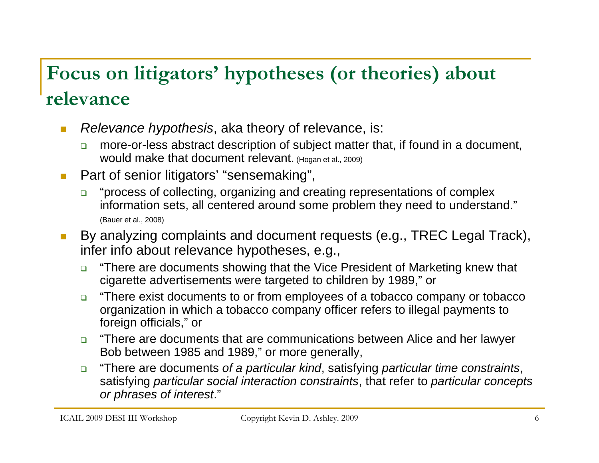## **Focus on litigators' hypotheses (or theories) about relevance**

- $\mathcal{C}^{\mathcal{A}}$  *Relevance hypothesis*, aka theory of relevance, is:
	- $\Box$  more-or-less abstract description of subject matter that, if found in a document, would make that document relevant. (Hogan et al., 2009)
- $\overline{\phantom{a}}$  Part of senior litigators' "sensemaking",
	- $\Box$  "process of collecting, organizing and creating representations of complex information sets, all centered around some problem they need to understand." (Bauer et al., 2008)
- П By analyzing complaints and document requests (e.g., TREC Legal Track), infer info about relevance hypotheses, e.g.,
	- $\Box$  "There are documents showing that the Vice President of Marketing knew that cigarette advertisements were targeted to children by 1989," or
	- $\Box$  "There exist documents to or from employees of a tobacco company or tobacco organization in which a tobacco company officer refers to illegal payments to foreign officials," or
	- $\Box$  "There are documents that are communications between Alice and her lawyer Bob between 1985 and 1989," or more generally,
	- $\Box$  "There are documents *of a particular kind*, satisfying *particular time constraints*, satisfying *particular social interaction constraints*, that refer to *particular concepts or phrases of interest*."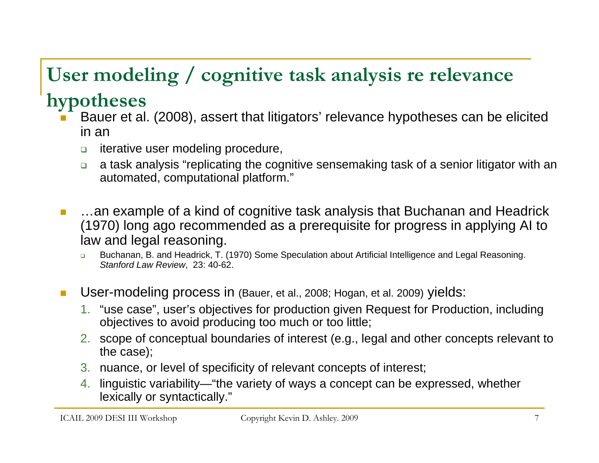# **User modeling / cognitive task analysis re relevance**

#### **hypotheses**

- Bauer et al. (2008), assert that litigators' relevance hypotheses can be elicited in an
	- $\Box$ iterative user modeling procedure,
	- $\Box$  a task analysis "replicating the cognitive sensemaking task of a senior litigator with an automated, computational platform."
	- …an example of a kind of cognitive task analysis that Buchanan and Headrick (1970) long ago recommended as a prerequisite for progress in applying AI to law and legal reasoning.
		- $\Box$  Buchanan, B. and Headrick, T. (1970) Some Speculation about Artificial Intelligence and Legal Reasoning. *Stanford Law Review*, 23: 40-62.
- **Tale**  User-modeling process in (Bauer, et al., 2008; Hogan, et al. 2009) yields:
	- 1. "use case", user's objectives for production given Request for Production, including objectives to avoid producing too much or too little;
	- 2. scope of conceptual boundaries of interest (e.g., legal and other concepts relevant to the case);
	- 3. nuance, or level of specificity of relevant concepts of interest;
	- 4. linguistic variability—"the variety of ways a concept can be expressed, whether lexically or syntactically."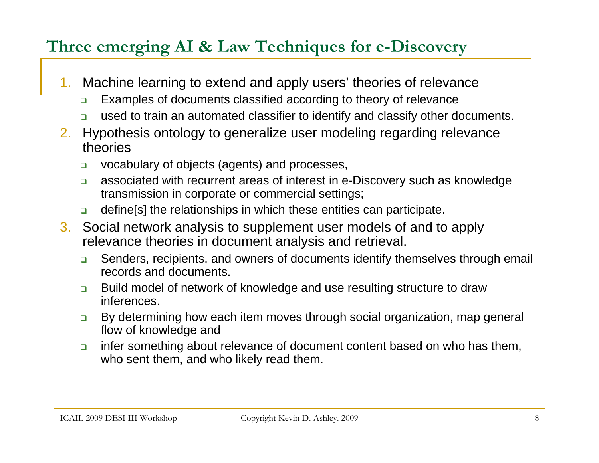#### **Three emerging AI & Law Techniques for e-Discovery**

- 1. Machine learning to extend and apply users' theories of relevance
	- $\Box$ Examples of documents classified according to theory of relevance
	- $\Box$ used to train an automated classifier to identify and classify other documents.
- 2. Hypothesis ontology to generalize user modeling regarding relevance theories
	- $\Box$ vocabulary of objects (agents) and processes,
	- $\Box$  associated with recurrent areas of interest in e-Discovery such as knowledge transmission in corporate or commercial settings;
	- $\Box$ define[s] the relationships in which these entities can participate.
- 3. Social network analysis to supplement user models of and to apply relevance theories in document analysis and retrieval.
	- $\Box$  Senders, recipients, and owners of documents identify themselves through email records and documents.
	- $\Box$  Build model of network of knowledge and use resulting structure to draw inferences.
	- $\Box$  By determining how each item moves through social organization, map general flow of knowledge and
	- $\Box$  infer something about relevance of document content based on who has them, who sent them, and who likely read them.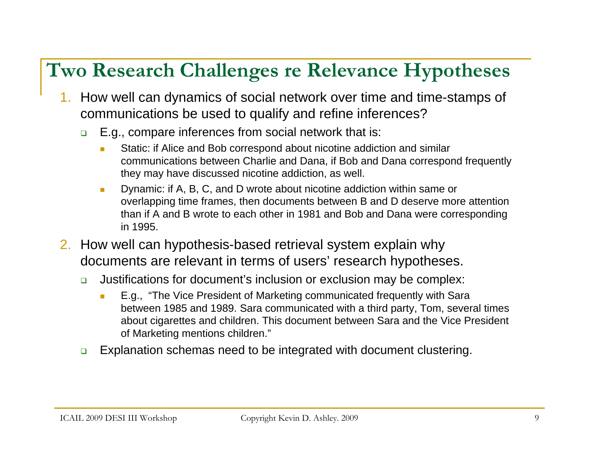## **Two Research Challenges re Relevance Hypotheses**

- 1. How well can dynamics of social network over time and time-stamps of communications be used to qualify and refine inferences?
	- $\Box$  E.g., compare inferences from social network that is:
		- $\overline{\phantom{a}}$  Static: if Alice and Bob correspond about nicotine addiction and similar communications between Charlie and Dana, if Bob and Dana correspond frequently they may have discussed nicotine addiction, as well.
		- m. Dynamic: if A, B, C, and D wrote about nicotine addiction within same or overlapping time frames, then documents between B and D deserve more attention than if A and B wrote to each other in 1981 and Bob and Dana were corresponding in 1995.
- 2. How well can hypothesis-based retrieval system explain why documents are relevant in terms of users' research hypotheses.
	- $\Box$  Justifications for document's inclusion or exclusion may be complex:
		- n. E.g., "The Vice President of Marketing communicated frequently with Sara between 1985 and 1989. Sara communicated with a third party, Tom, several times about cigarettes and children. This document between Sara and the Vice President of Marketing mentions children."
	- $\Box$ Explanation schemas need to be integrated with document clustering.